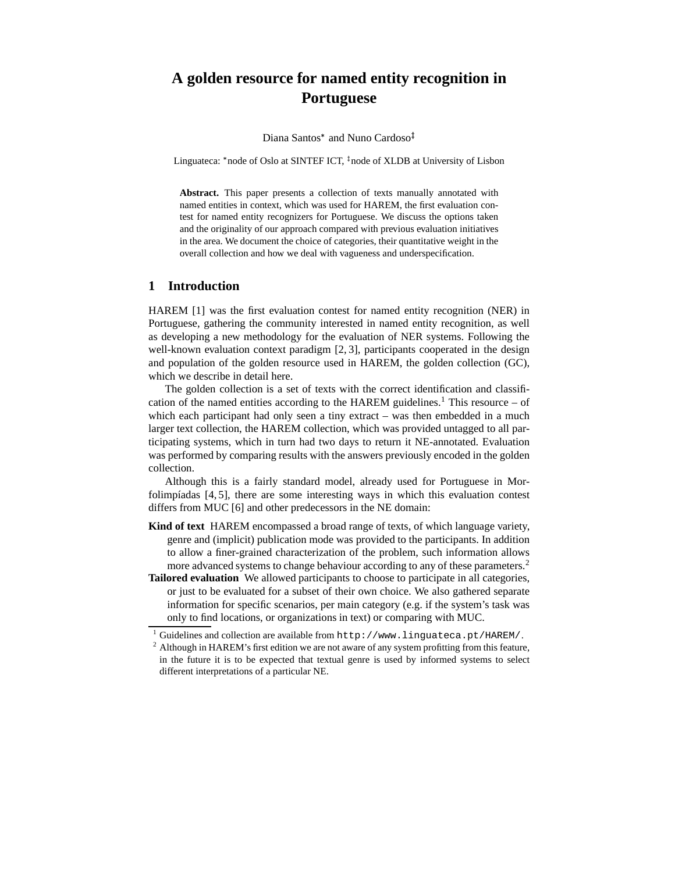# **A golden resource for named entity recognition in Portuguese**

Diana Santos\* and Nuno Cardoso<sup>‡</sup>

Linguateca: \*node of Oslo at SINTEF ICT, <sup>‡</sup>node of XLDB at University of Lisbon

Abstract. This paper presents a collection of texts manually annotated with named entities in context, which was used for HAREM, the first evaluation contest for named entity recognizers for Portuguese. We discuss the options taken and the originality of our approach compared with previous evaluation initiatives in the area. We document the choice of categories, their quantitative weight in the overall collection and how we deal with vagueness and underspecification.

## **1 Introduction**

HAREM [1] was the first evaluation contest for named entity recognition (NER) in Portuguese, gathering the community interested in named entity recognition, as well as developing a new methodology for the evaluation of NER systems. Following the well-known evaluation context paradigm [2, 3], participants cooperated in the design and population of the golden resource used in HAREM, the golden collection (GC), which we describe in detail here.

The golden collection is a set of texts with the correct identification and classification of the named entities according to the HAREM guidelines.<sup>1</sup> This resource – of which each participant had only seen a tiny extract – was then embedded in a much larger text collection, the HAREM collection, which was provided untagged to all participating systems, which in turn had two days to return it NE-annotated. Evaluation was performed by comparing results with the answers previously encoded in the golden collection.

Although this is a fairly standard model, already used for Portuguese in Morfolimpíadas [4, 5], there are some interesting ways in which this evaluation contest differs from MUC [6] and other predecessors in the NE domain:

- **Kind of text** HAREM encompassed a broad range of texts, of which language variety, genre and (implicit) publication mode was provided to the participants. In addition to allow a finer-grained characterization of the problem, such information allows more advanced systems to change behaviour according to any of these parameters.<sup>2</sup>
- **Tailored evaluation** We allowed participants to choose to participate in all categories, or just to be evaluated for a subset of their own choice. We also gathered separate information for specific scenarios, per main category (e.g. if the system's task was only to find locations, or organizations in text) or comparing with MUC.

<sup>1</sup> Guidelines and collection are available from http://www.linguateca.pt/HAREM/.

 $2$  Although in HAREM's first edition we are not aware of any system profitting from this feature, in the future it is to be expected that textual genre is used by informed systems to select different interpretations of a particular NE.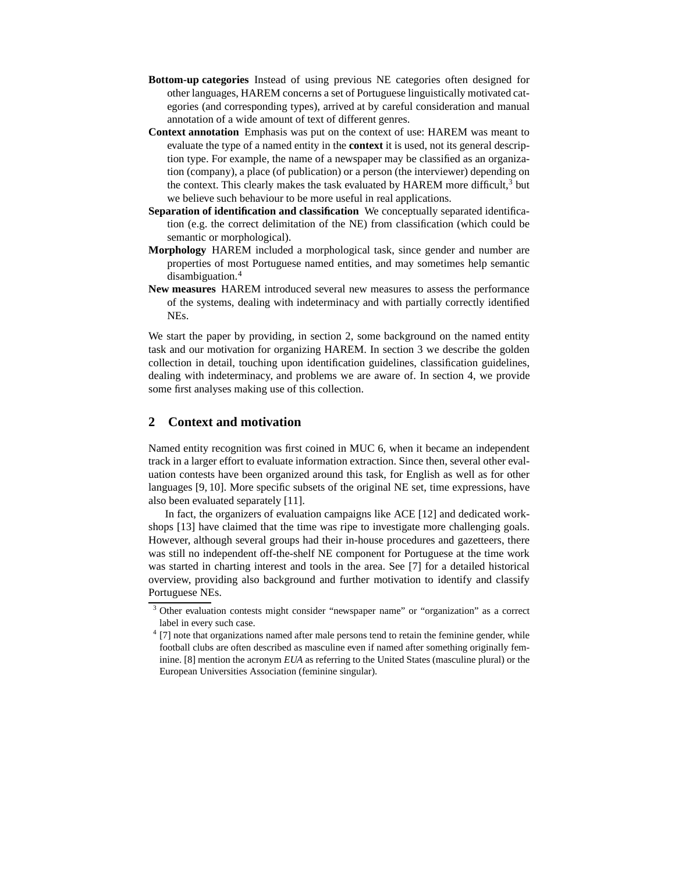- **Bottom-up categories** Instead of using previous NE categories often designed for other languages, HAREM concerns a set of Portuguese linguistically motivated categories (and corresponding types), arrived at by careful consideration and manual annotation of a wide amount of text of different genres.
- **Context annotation** Emphasis was put on the context of use: HAREM was meant to evaluate the type of a named entity in the **context** it is used, not its general description type. For example, the name of a newspaper may be classified as an organization (company), a place (of publication) or a person (the interviewer) depending on the context. This clearly makes the task evaluated by HAREM more difficult,<sup>3</sup> but we believe such behaviour to be more useful in real applications.
- **Separation of identification and classification** We conceptually separated identification (e.g. the correct delimitation of the NE) from classification (which could be semantic or morphological).
- **Morphology** HAREM included a morphological task, since gender and number are properties of most Portuguese named entities, and may sometimes help semantic disambiguation.<sup>4</sup>
- **New measures** HAREM introduced several new measures to assess the performance of the systems, dealing with indeterminacy and with partially correctly identified NEs.

We start the paper by providing, in section 2, some background on the named entity task and our motivation for organizing HAREM. In section 3 we describe the golden collection in detail, touching upon identification guidelines, classification guidelines, dealing with indeterminacy, and problems we are aware of. In section 4, we provide some first analyses making use of this collection.

# **2 Context and motivation**

Named entity recognition was first coined in MUC 6, when it became an independent track in a larger effort to evaluate information extraction. Since then, several other evaluation contests have been organized around this task, for English as well as for other languages [9, 10]. More specific subsets of the original NE set, time expressions, have also been evaluated separately [11].

In fact, the organizers of evaluation campaigns like ACE [12] and dedicated workshops [13] have claimed that the time was ripe to investigate more challenging goals. However, although several groups had their in-house procedures and gazetteers, there was still no independent off-the-shelf NE component for Portuguese at the time work was started in charting interest and tools in the area. See [7] for a detailed historical overview, providing also background and further motivation to identify and classify Portuguese NEs.

<sup>&</sup>lt;sup>3</sup> Other evaluation contests might consider "newspaper name" or "organization" as a correct label in every such case.

<sup>&</sup>lt;sup>4</sup> [7] note that organizations named after male persons tend to retain the feminine gender, while football clubs are often described as masculine even if named after something originally feminine. [8] mention the acronym *EUA* as referring to the United States (masculine plural) or the European Universities Association (feminine singular).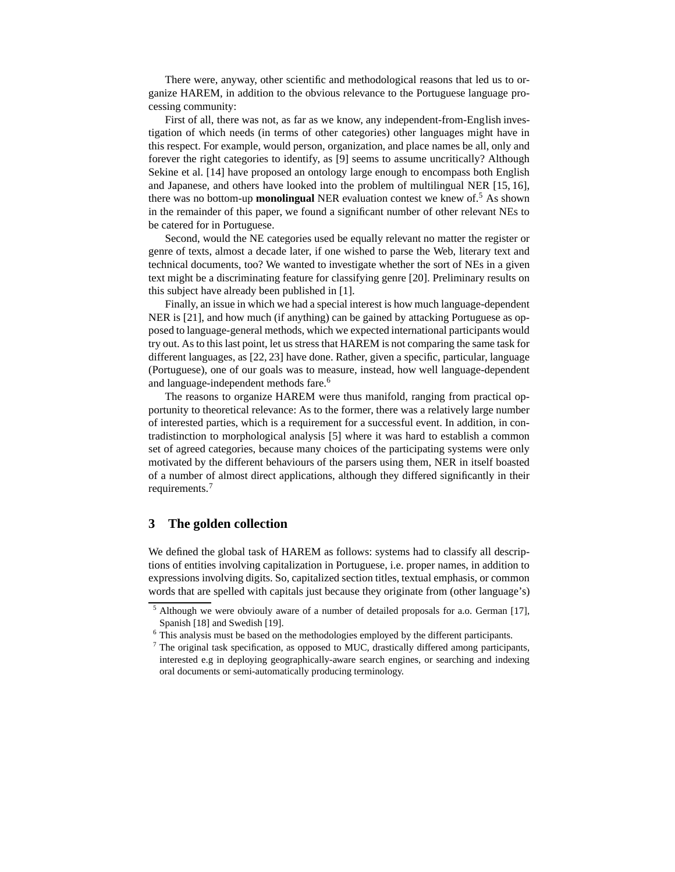There were, anyway, other scientific and methodological reasons that led us to organize HAREM, in addition to the obvious relevance to the Portuguese language processing community:

First of all, there was not, as far as we know, any independent-from-English investigation of which needs (in terms of other categories) other languages might have in this respect. For example, would person, organization, and place names be all, only and forever the right categories to identify, as [9] seems to assume uncritically? Although Sekine et al. [14] have proposed an ontology large enough to encompass both English and Japanese, and others have looked into the problem of multilingual NER [15, 16], there was no bottom-up **monolingual** NER evaluation contest we knew of.<sup>5</sup> As shown in the remainder of this paper, we found a significant number of other relevant NEs to be catered for in Portuguese.

Second, would the NE categories used be equally relevant no matter the register or genre of texts, almost a decade later, if one wished to parse the Web, literary text and technical documents, too? We wanted to investigate whether the sort of NEs in a given text might be a discriminating feature for classifying genre [20]. Preliminary results on this subject have already been published in [1].

Finally, an issue in which we had a special interest is how much language-dependent NER is [21], and how much (if anything) can be gained by attacking Portuguese as opposed to language-general methods, which we expected international participants would try out. Asto this last point, let us stress that HAREM is not comparing the same task for different languages, as [22, 23] have done. Rather, given a specific, particular, language (Portuguese), one of our goals was to measure, instead, how well language-dependent and language-independent methods fare.<sup>6</sup>

The reasons to organize HAREM were thus manifold, ranging from practical opportunity to theoretical relevance: As to the former, there was a relatively large number of interested parties, which is a requirement for a successful event. In addition, in contradistinction to morphological analysis [5] where it was hard to establish a common set of agreed categories, because many choices of the participating systems were only motivated by the different behaviours of the parsers using them, NER in itself boasted of a number of almost direct applications, although they differed significantly in their requirements.<sup>7</sup>

## **3 The golden collection**

We defined the global task of HAREM as follows: systems had to classify all descriptions of entities involving capitalization in Portuguese, i.e. proper names, in addition to expressions involving digits. So, capitalized section titles, textual emphasis, or common words that are spelled with capitals just because they originate from (other language's)

<sup>5</sup> Although we were obviouly aware of a number of detailed proposals for a.o. German [17], Spanish [18] and Swedish [19].

 $6$  This analysis must be based on the methodologies employed by the different participants.

 $7$  The original task specification, as opposed to MUC, drastically differed among participants, interested e.g in deploying geographically-aware search engines, or searching and indexing oral documents or semi-automatically producing terminology.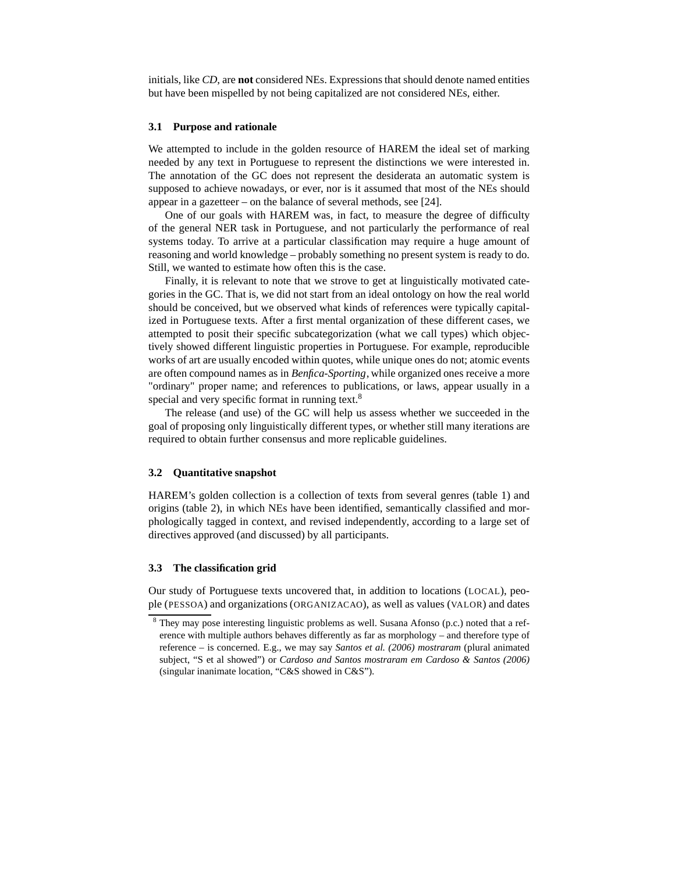initials, like *CD*, are **not** considered NEs. Expressions that should denote named entities but have been mispelled by not being capitalized are not considered NEs, either.

#### **3.1 Purpose and rationale**

We attempted to include in the golden resource of HAREM the ideal set of marking needed by any text in Portuguese to represent the distinctions we were interested in. The annotation of the GC does not represent the desiderata an automatic system is supposed to achieve nowadays, or ever, nor is it assumed that most of the NEs should appear in a gazetteer – on the balance of several methods, see [24].

One of our goals with HAREM was, in fact, to measure the degree of difficulty of the general NER task in Portuguese, and not particularly the performance of real systems today. To arrive at a particular classification may require a huge amount of reasoning and world knowledge – probably something no present system is ready to do. Still, we wanted to estimate how often this is the case.

Finally, it is relevant to note that we strove to get at linguistically motivated categories in the GC. That is, we did not start from an ideal ontology on how the real world should be conceived, but we observed what kinds of references were typically capitalized in Portuguese texts. After a first mental organization of these different cases, we attempted to posit their specific subcategorization (what we call types) which objectively showed different linguistic properties in Portuguese. For example, reproducible works of art are usually encoded within quotes, while unique ones do not; atomic events are often compound names as in *Benfica-Sporting*, while organized ones receive a more "ordinary" proper name; and references to publications, or laws, appear usually in a special and very specific format in running text.<sup>8</sup>

The release (and use) of the GC will help us assess whether we succeeded in the goal of proposing only linguistically different types, or whether still many iterations are required to obtain further consensus and more replicable guidelines.

#### **3.2 Quantitative snapshot**

HAREM's golden collection is a collection of texts from several genres (table 1) and origins (table 2), in which NEs have been identified, semantically classified and morphologically tagged in context, and revised independently, according to a large set of directives approved (and discussed) by all participants.

#### **3.3 The classification grid**

Our study of Portuguese texts uncovered that, in addition to locations (LOCAL), people (PESSOA) and organizations (ORGANIZACAO), as well as values (VALOR) and dates

<sup>8</sup> They may pose interesting linguistic problems as well. Susana Afonso (p.c.) noted that a reference with multiple authors behaves differently as far as morphology – and therefore type of reference – is concerned. E.g., we may say *Santos et al. (2006) mostraram* (plural animated subject, "S et al showed") or *Cardoso and Santos mostraram em Cardoso & Santos (2006)* (singular inanimate location, "C&S showed in C&S").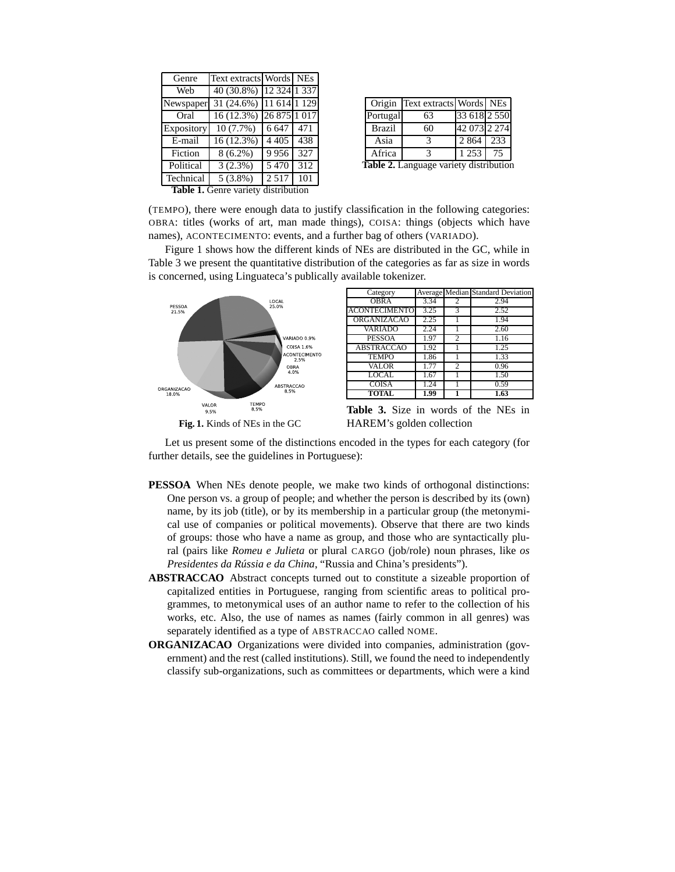| Genre      | Text extracts Words NEs |              |     |
|------------|-------------------------|--------------|-----|
| Web        | 40 (30.8%) 12 324 1 337 |              |     |
| Newspaper  | 31 (24.6%)              | 11 614 1 129 |     |
| Oral       | $\overline{16(12.3\%)}$ | 26 875 1 017 |     |
| Expository | $\overline{10(7.7\%)}$  | 6 6 4 7      | 471 |
| E-mail     | 16 (12.3%)              | 4 4 0 5      | 438 |
| Fiction    | $8(6.2\%)$              | 9956         | 327 |
| Political  | $\overline{3(2.3\%)}$   | 5 4 7 0      | 312 |
| Technical  | $5(3.8\%)$              | 2517         | 101 |

|               | Origin Text extracts Words NEs |              |     |
|---------------|--------------------------------|--------------|-----|
| Portugal      | 63                             | 33 618 2 550 |     |
| <b>Brazil</b> | 60                             | 42 073 2 274 |     |
| Asia          |                                | 2 8 6 4      | 233 |
| Africa        |                                | 1 253        | 75  |

**Table 2.** Language variety distribution

**Table 1.** Genre variety distribution

(TEMPO), there were enough data to justify classification in the following categories: OBRA: titles (works of art, man made things), COISA: things (objects which have names), ACONTECIMENTO: events, and a further bag of others (VARIADO).

Figure 1 shows how the different kinds of NEs are distributed in the GC, while in Table 3 we present the quantitative distribution of the categories as far as size in words is concerned, using Linguateca's publically available tokenizer.



| Category             |      |   | <b>Average Median Standard Deviation</b> |
|----------------------|------|---|------------------------------------------|
| <b>OBRA</b>          | 3.34 | 2 | 2.94                                     |
| <b>ACONTECIMENTO</b> | 3.25 | 3 | 2.52                                     |
| <b>ORGANIZACAO</b>   | 2.25 |   | 1.94                                     |
| <b>VARIADO</b>       | 2.24 |   | 2.60                                     |
| <b>PESSOA</b>        | 1.97 | 2 | 1.16                                     |
| <b>ABSTRACCAO</b>    | 1.92 |   | 1.25                                     |
| <b>TEMPO</b>         | 1.86 |   | 1.33                                     |
| <b>VALOR</b>         | 1.77 | 2 | 0.96                                     |
| <b>LOCAL</b>         | 1.67 |   | 1.50                                     |
| <b>COISA</b>         | 1.24 |   | 0.59                                     |
| <b>TOTAL</b>         | 1.99 |   | 1.63                                     |

**Fig. 1.** Kinds of NEs in the GC



Let us present some of the distinctions encoded in the types for each category (for further details, see the guidelines in Portuguese):

- **PESSOA** When NEs denote people, we make two kinds of orthogonal distinctions: One person vs. a group of people; and whether the person is described by its (own) name, by its job (title), or by its membership in a particular group (the metonymical use of companies or political movements). Observe that there are two kinds of groups: those who have a name as group, and those who are syntactically plural (pairs like *Romeu e Julieta* or plural CARGO (job/role) noun phrases, like *os Presidentes da Rússia e da China*, "Russia and China's presidents").
- **ABSTRACCAO** Abstract concepts turned out to constitute a sizeable proportion of capitalized entities in Portuguese, ranging from scientific areas to political programmes, to metonymical uses of an author name to refer to the collection of his works, etc. Also, the use of names as names (fairly common in all genres) was separately identified as a type of ABSTRACCAO called NOME.
- **ORGANIZACAO** Organizations were divided into companies, administration (government) and the rest (called institutions). Still, we found the need to independently classify sub-organizations, such as committees or departments, which were a kind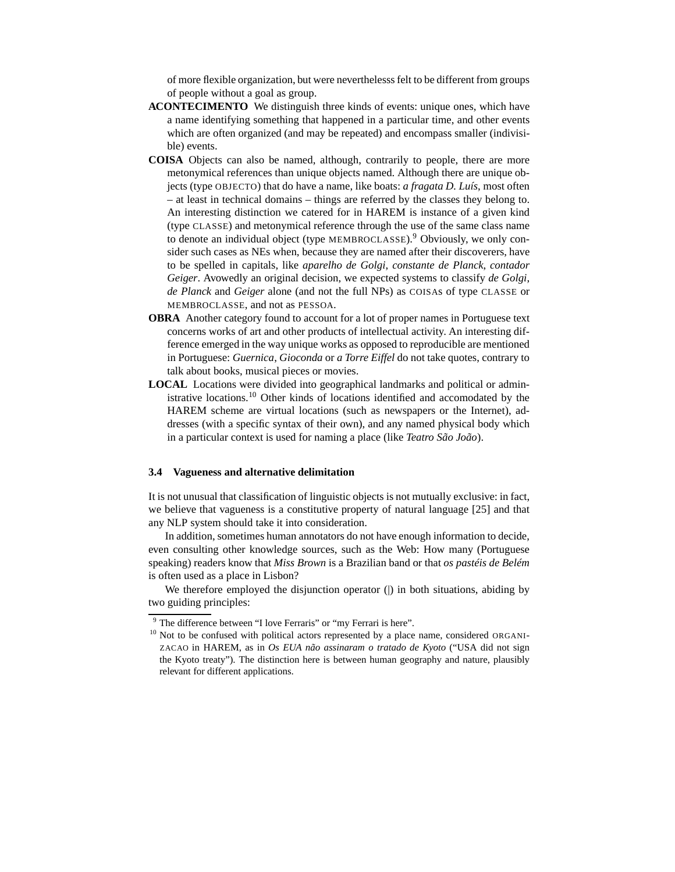of more flexible organization, but were neverthelesssfelt to be different from groups of people without a goal as group.

- **ACONTECIMENTO** We distinguish three kinds of events: unique ones, which have a name identifying something that happened in a particular time, and other events which are often organized (and may be repeated) and encompass smaller (indivisible) events.
- **COISA** Objects can also be named, although, contrarily to people, there are more metonymical references than unique objects named. Although there are unique objects (type OBJECTO) that do have a name, like boats: *a fragata D. Luís*, most often – at least in technical domains – things are referred by the classes they belong to. An interesting distinction we catered for in HAREM is instance of a given kind (type CLASSE) and metonymical reference through the use of the same class name to denote an individual object (type MEMBROCLASSE).<sup>9</sup> Obviously, we only consider such cases as NEs when, because they are named after their discoverers, have to be spelled in capitals, like *aparelho de Golgi*, *constante de Planck*, *contador Geiger*. Avowedly an original decision, we expected systems to classify *de Golgi*, *de Planck* and *Geiger* alone (and not the full NPs) as COISAs of type CLASSE or MEMBROCLASSE, and not as PESSOA.
- **OBRA** Another category found to account for a lot of proper names in Portuguese text concerns works of art and other products of intellectual activity. An interesting difference emerged in the way unique works as opposed to reproducible are mentioned in Portuguese: *Guernica*, *Gioconda* or *a Torre Eiffel* do not take quotes, contrary to talk about books, musical pieces or movies.
- **LOCAL** Locations were divided into geographical landmarks and political or administrative locations.<sup>10</sup> Other kinds of locations identified and accomodated by the HAREM scheme are virtual locations (such as newspapers or the Internet), addresses (with a specific syntax of their own), and any named physical body which in a particular context is used for naming a place (like *Teatro São João*).

#### **3.4 Vagueness and alternative delimitation**

It is not unusual that classification of linguistic objects is not mutually exclusive: in fact, we believe that vagueness is a constitutive property of natural language [25] and that any NLP system should take it into consideration.

In addition, sometimes human annotators do not have enough information to decide, even consulting other knowledge sources, such as the Web: How many (Portuguese speaking) readers know that *Miss Brown* is a Brazilian band or that *os pastéis de Belém* is often used as a place in Lisbon?

We therefore employed the disjunction operator () in both situations, abiding by two guiding principles:

<sup>&</sup>lt;sup>9</sup> The difference between "I love Ferraris" or "my Ferrari is here".

<sup>&</sup>lt;sup>10</sup> Not to be confused with political actors represented by a place name, considered ORGANI-ZACAO in HAREM, as in *Os EUA não assinaram o tratado de Kyoto* ("USA did not sign the Kyoto treaty"). The distinction here is between human geography and nature, plausibly relevant for different applications.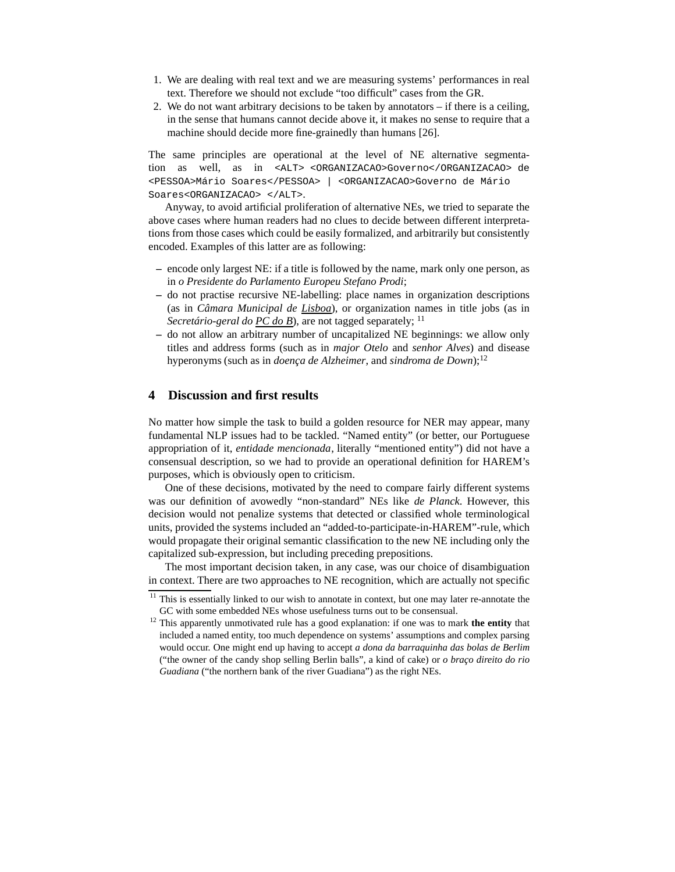- 1. We are dealing with real text and we are measuring systems' performances in real text. Therefore we should not exclude "too difficult" cases from the GR.
- 2. We do not want arbitrary decisions to be taken by annotators if there is a ceiling, in the sense that humans cannot decide above it, it makes no sense to require that a machine should decide more fine-grainedly than humans [26].

The same principles are operational at the level of NE alternative segmentation as well, as in <ALT> <ORGANIZACAO>Governo</ORGANIZACAO> de <PESSOA>Mário Soares</PESSOA> | <ORGANIZACAO>Governo de Mário Soares<ORGANIZACAO> </ALT>.

Anyway, to avoid artificial proliferation of alternative NEs, we tried to separate the above cases where human readers had no clues to decide between different interpretations from those cases which could be easily formalized, and arbitrarily but consistently encoded. Examples of this latter are as following:

- **–** encode only largest NE: if a title is followed by the name, mark only one person, as in *o Presidente do Parlamento Europeu Stefano Prodi*;
- **–** do not practise recursive NE-labelling: place names in organization descriptions (as in *Câmara Municipal de Lisboa*), or organization names in title jobs (as in *Secretário-geral do PC do B*), are not tagged separately; <sup>11</sup>
- **–** do not allow an arbitrary number of uncapitalized NE beginnings: we allow only titles and address forms (such as in *major Otelo* and *senhor Alves*) and disease hyperonyms (such as in *doença de Alzheimer*, and *sindroma de Down*);<sup>12</sup>

### **4 Discussion and first results**

No matter how simple the task to build a golden resource for NER may appear, many fundamental NLP issues had to be tackled. "Named entity" (or better, our Portuguese appropriation of it, *entidade mencionada*, literally "mentioned entity") did not have a consensual description, so we had to provide an operational definition for HAREM's purposes, which is obviously open to criticism.

One of these decisions, motivated by the need to compare fairly different systems was our definition of avowedly "non-standard" NEs like *de Planck*. However, this decision would not penalize systems that detected or classified whole terminological units, provided the systems included an "added-to-participate-in-HAREM"-rule, which would propagate their original semantic classification to the new NE including only the capitalized sub-expression, but including preceding prepositions.

The most important decision taken, in any case, was our choice of disambiguation in context. There are two approaches to NE recognition, which are actually not specific

 $\frac{11}{11}$  This is essentially linked to our wish to annotate in context, but one may later re-annotate the GC with some embedded NEs whose usefulness turns out to be consensual.

<sup>12</sup> This apparently unmotivated rule has a good explanation: if one was to mark **the entity** that included a named entity, too much dependence on systems' assumptions and complex parsing would occur. One might end up having to accept *a dona da barraquinha das bolas de Berlim* ("the owner of the candy shop selling Berlin balls", a kind of cake) or *o braço direito do rio Guadiana* ("the northern bank of the river Guadiana") as the right NEs.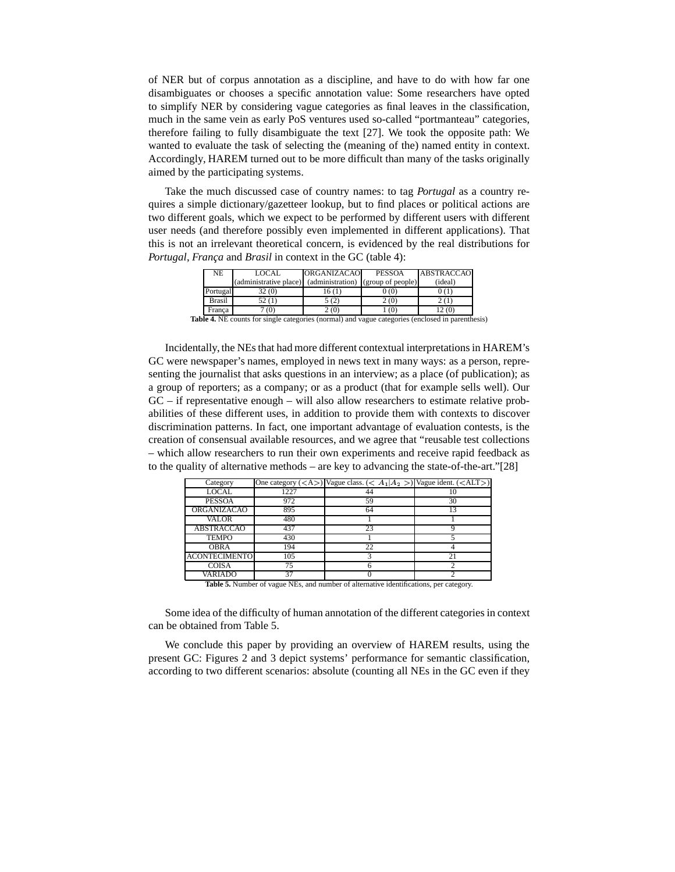of NER but of corpus annotation as a discipline, and have to do with how far one disambiguates or chooses a specific annotation value: Some researchers have opted to simplify NER by considering vague categories as final leaves in the classification, much in the same vein as early PoS ventures used so-called "portmanteau" categories, therefore failing to fully disambiguate the text [27]. We took the opposite path: We wanted to evaluate the task of selecting the (meaning of the) named entity in context. Accordingly, HAREM turned out to be more difficult than many of the tasks originally aimed by the participating systems.

Take the much discussed case of country names: to tag *Portugal* as a country requires a simple dictionary/gazetteer lookup, but to find places or political actions are two different goals, which we expect to be performed by different users with different user needs (and therefore possibly even implemented in different applications). That this is not an irrelevant theoretical concern, is evidenced by the real distributions for *Portugal*, *França* and *Brasil* in context in the GC (table 4):

| NE            | LOCAL                  | <b>ORGANIZACAO</b> | <b>PESSOA</b>                      | <b>ABSTRACCAO</b> |
|---------------|------------------------|--------------------|------------------------------------|-------------------|
|               | (administrative place) |                    | (administration) (group of people) | (ideal)           |
| Portugal      | 32(0)                  | 16 (1)             | 0(0)                               |                   |
| <b>Brasil</b> | 52(1)                  | 5(2)               | 2(0)                               |                   |
| Franca        | 7(0)                   | 2(0)               | (0)                                | 12 (0)            |

**Table 4.** NE counts for single categories (normal) and vague categories (enclosed in parenthesis)

Incidentally, the NEsthat had more different contextual interpretationsin HAREM's GC were newspaper's names, employed in news text in many ways: as a person, representing the journalist that asks questions in an interview; as a place (of publication); as a group of reporters; as a company; or as a product (that for example sells well). Our  $GC$  – if representative enough – will also allow researchers to estimate relative probabilities of these different uses, in addition to provide them with contexts to discover discrimination patterns. In fact, one important advantage of evaluation contests, is the creation of consensual available resources, and we agree that "reusable test collections – which allow researchers to run their own experiments and receive rapid feedback as to the quality of alternative methods – are key to advancing the state-of-the-art."[28]

| Category             |      | One category ( $\langle A \rangle$ ) Vague class. ( $\langle \overline{A_1   A_2} \rangle$ ) Vague ident. ( $\langle ALT \rangle$ ) |          |
|----------------------|------|-------------------------------------------------------------------------------------------------------------------------------------|----------|
| LOCAL                | 1227 | 44                                                                                                                                  | 10       |
| <b>PESSOA</b>        | 972  | 59                                                                                                                                  | 30       |
| <b>ORGANIZACAO</b>   | 895  | 64                                                                                                                                  | 13       |
| <b>VALOR</b>         | 480  |                                                                                                                                     |          |
| <b>ABSTRACCAO</b>    | 437  | 23                                                                                                                                  | $\Omega$ |
| <b>TEMPO</b>         | 430  |                                                                                                                                     |          |
| <b>OBRA</b>          | 194  | 22                                                                                                                                  |          |
| <b>ACONTECIMENTO</b> | 105  |                                                                                                                                     | 21       |
| <b>COISA</b>         | 75   |                                                                                                                                     |          |
| <b>VARIADO</b>       | 37   |                                                                                                                                     |          |

**Table 5.** Number of vague NEs, and number of alternative identifications, per category.

Some idea of the difficulty of human annotation of the different categories in context can be obtained from Table 5.

We conclude this paper by providing an overview of HAREM results, using the present GC: Figures 2 and 3 depict systems' performance for semantic classification, according to two different scenarios: absolute (counting all NEs in the GC even if they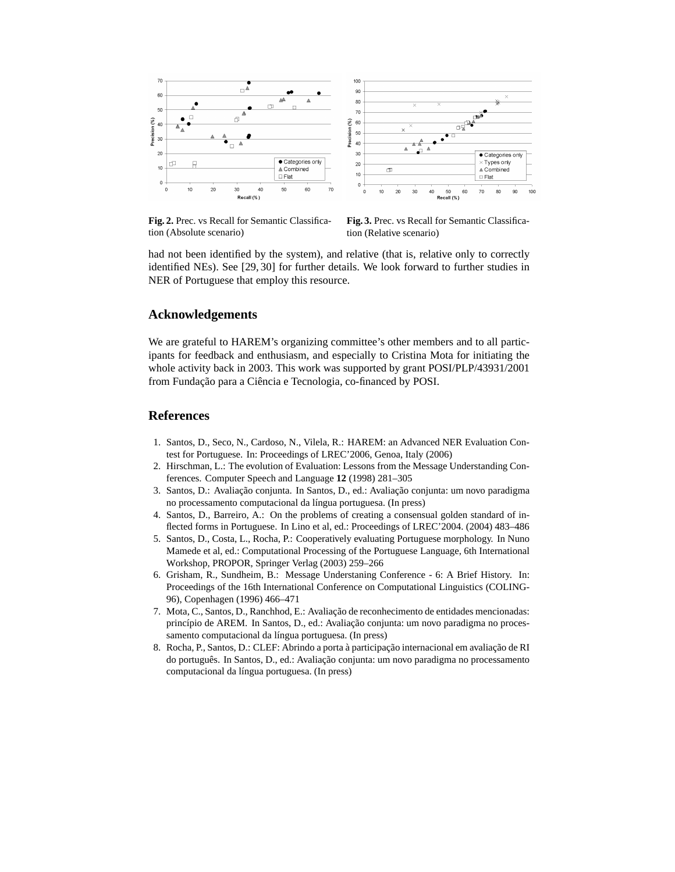

**Fig. 2.** Prec. vs Recall for Semantic Classification (Absolute scenario)

**Fig. 3.** Prec. vs Recall for Semantic Classification (Relative scenario)

had not been identified by the system), and relative (that is, relative only to correctly identified NEs). See [29, 30] for further details. We look forward to further studies in NER of Portuguese that employ this resource.

# **Acknowledgements**

We are grateful to HAREM's organizing committee's other members and to all participants for feedback and enthusiasm, and especially to Cristina Mota for initiating the whole activity back in 2003. This work was supported by grant POSI/PLP/43931/2001 from Fundação para a Ciência e Tecnologia, co-financed by POSI.

## **References**

- 1. Santos, D., Seco, N., Cardoso, N., Vilela, R.: HAREM: an Advanced NER Evaluation Contest for Portuguese. In: Proceedings of LREC'2006, Genoa, Italy (2006)
- 2. Hirschman, L.: The evolution of Evaluation: Lessons from the Message Understanding Conferences. Computer Speech and Language **12** (1998) 281–305
- 3. Santos, D.: Avaliação conjunta. In Santos, D., ed.: Avaliação conjunta: um novo paradigma no processamento computacional da língua portuguesa. (In press)
- 4. Santos, D., Barreiro, A.: On the problems of creating a consensual golden standard of inflected forms in Portuguese. In Lino et al, ed.: Proceedings of LREC'2004. (2004) 483–486
- 5. Santos, D., Costa, L., Rocha, P.: Cooperatively evaluating Portuguese morphology. In Nuno Mamede et al, ed.: Computational Processing of the Portuguese Language, 6th International Workshop, PROPOR, Springer Verlag (2003) 259–266
- 6. Grisham, R., Sundheim, B.: Message Understaning Conference 6: A Brief History. In: Proceedings of the 16th International Conference on Computational Linguistics (COLING-96), Copenhagen (1996) 466–471
- 7. Mota, C., Santos, D., Ranchhod, E.: Avaliação de reconhecimento de entidades mencionadas: princípio de AREM. In Santos, D., ed.: Avaliação conjunta: um novo paradigma no processamento computacional da língua portuguesa. (In press)
- 8. Rocha, P., Santos, D.: CLEF: Abrindo a porta à participação internacional em avaliação de RI do português. In Santos, D., ed.: Avaliação conjunta: um novo paradigma no processamento computacional da língua portuguesa. (In press)